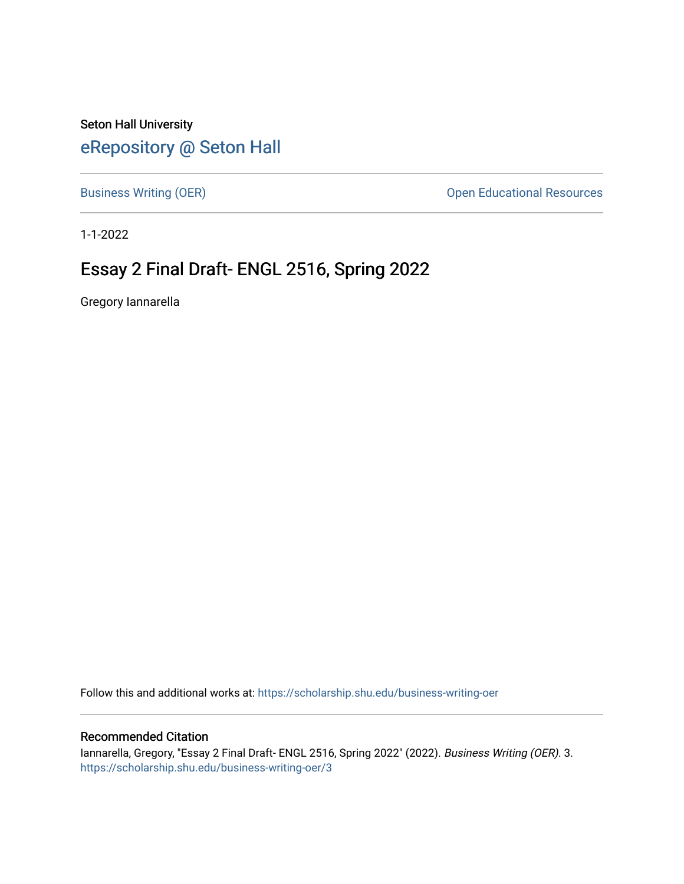Seton Hall University [eRepository @ Seton Hall](https://scholarship.shu.edu/)

[Business Writing \(OER\)](https://scholarship.shu.edu/business-writing-oer) **Open Educational Resources Open Educational Resources** 

1-1-2022

## Essay 2 Final Draft- ENGL 2516, Spring 2022

Gregory Iannarella

Follow this and additional works at: [https://scholarship.shu.edu/business-writing-oer](https://scholarship.shu.edu/business-writing-oer?utm_source=scholarship.shu.edu%2Fbusiness-writing-oer%2F3&utm_medium=PDF&utm_campaign=PDFCoverPages) 

## Recommended Citation

Iannarella, Gregory, "Essay 2 Final Draft- ENGL 2516, Spring 2022" (2022). Business Writing (OER). 3. [https://scholarship.shu.edu/business-writing-oer/3](https://scholarship.shu.edu/business-writing-oer/3?utm_source=scholarship.shu.edu%2Fbusiness-writing-oer%2F3&utm_medium=PDF&utm_campaign=PDFCoverPages)